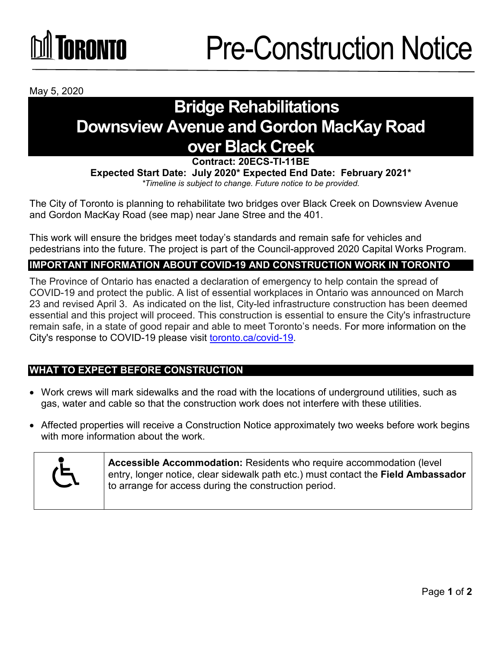## **GRANTA**

May 5, 2020

### **Bridge Rehabilitations Downsview Avenue and Gordon MacKay Road over Black Creek**

**Contract: 20ECS-TI-11BE**

**Expected Start Date: July 2020\* Expected End Date: February 2021\***  *\*Timeline is subject to change. Future notice to be provided.*

The City of Toronto is planning to rehabilitate two bridges over Black Creek on Downsview Avenue and Gordon MacKay Road (see map) near Jane Stree and the 401.

This work will ensure the bridges meet today's standards and remain safe for vehicles and pedestrians into the future. The project is part of the Council-approved 2020 Capital Works Program.

#### **IMPORTANT INFORMATION ABOUT COVID-19 AND CONSTRUCTION WORK IN TORONTO**

The Province of Ontario has enacted a declaration of emergency to help contain the spread of COVID-19 and protect the public. A list of essential workplaces in Ontario was announced on March 23 and revised April 3. As indicated on the list, City-led infrastructure construction has been deemed essential and this project will proceed. This construction is essential to ensure the City's infrastructure remain safe, in a state of good repair and able to meet Toronto's needs. For more information on the City's response to COVID-19 please visit [toronto.ca/covid-19.](http://www.toronto.ca/covid-19)

#### **WHAT TO EXPECT BEFORE CONSTRUCTION**

- Work crews will mark sidewalks and the road with the locations of underground utilities, such as gas, water and cable so that the construction work does not interfere with these utilities.
- Affected properties will receive a Construction Notice approximately two weeks before work begins with more information about the work.



**Accessible Accommodation:** Residents who require accommodation (level entry, longer notice, clear sidewalk path etc.) must contact the **Field Ambassador** to arrange for access during the construction period.